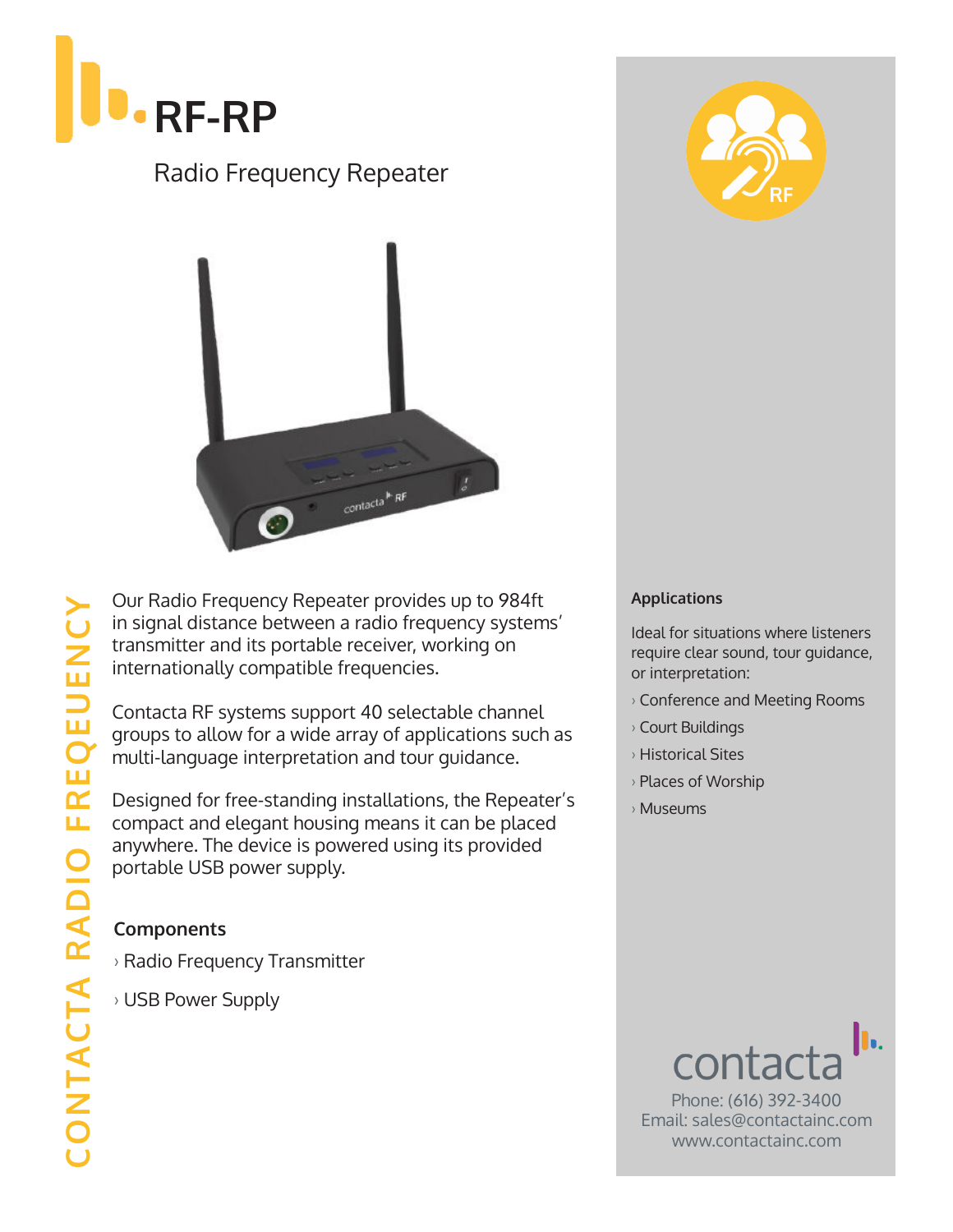

## Radio Frequency Repeater



Our Radio Frequency Repeater provides up to 984ft in signal distance between a radio frequency systems' transmitter and its portable receiver, working on internationally compatible frequencies.

Contacta RF systems support 40 selectable channel groups to allow for a wide array of applications such as multi-language interpretation and tour guidance.

Designed for free-standing installations, the Repeater's compact and elegant housing means it can be placed anywhere. The device is powered using its provided portable USB power supply.

### **Components**

› Radio Frequency Transmitter

› USB Power Supply



#### **Applications**

Ideal for situations where listeners require clear sound, tour guidance, or interpretation:

- › Conference and Meeting Rooms
- › Court Buildings
- › Historical Sites
- › Places of Worship
- › Museums



Phone: (616) 392-3400 Email: sales@contactainc.com www.contactainc.com